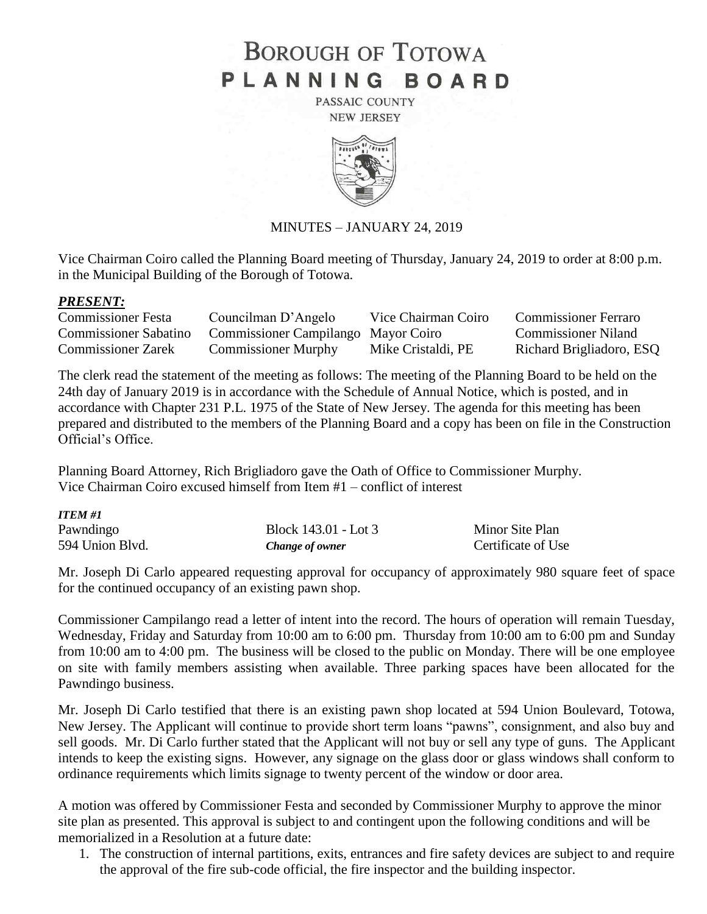# **BOROUGH OF TOTOWA** PLANNING BOARD

PASSAIC COUNTY **NEW JERSEY** 



#### MINUTES – JANUARY 24, 2019

Vice Chairman Coiro called the Planning Board meeting of Thursday, January 24, 2019 to order at 8:00 p.m. in the Municipal Building of the Borough of Totowa.

#### *PRESENT:*

*ITEM #1*

| <b>Commissioner Festa</b>    | Councilman D'Angelo                 | Vice Chairman Coiro | <b>Commissioner Ferraro</b> |
|------------------------------|-------------------------------------|---------------------|-----------------------------|
| <b>Commissioner Sabatino</b> | Commissioner Campilango Mayor Coiro |                     | <b>Commissioner Niland</b>  |
| <b>Commissioner Zarek</b>    | <b>Commissioner Murphy</b>          | Mike Cristaldi, PE  | Richard Brigliadoro, ESQ    |

The clerk read the statement of the meeting as follows: The meeting of the Planning Board to be held on the 24th day of January 2019 is in accordance with the Schedule of Annual Notice, which is posted, and in accordance with Chapter 231 P.L. 1975 of the State of New Jersey. The agenda for this meeting has been prepared and distributed to the members of the Planning Board and a copy has been on file in the Construction Official's Office.

Planning Board Attorney, Rich Brigliadoro gave the Oath of Office to Commissioner Murphy. Vice Chairman Coiro excused himself from Item #1 – conflict of interest

| TTEM #1         |                      |                    |
|-----------------|----------------------|--------------------|
| Pawndingo       | Block 143.01 - Lot 3 | Minor Site Plan    |
| 594 Union Blvd. | Change of owner      | Certificate of Use |

Mr. Joseph Di Carlo appeared requesting approval for occupancy of approximately 980 square feet of space for the continued occupancy of an existing pawn shop.

Commissioner Campilango read a letter of intent into the record. The hours of operation will remain Tuesday, Wednesday, Friday and Saturday from 10:00 am to 6:00 pm. Thursday from 10:00 am to 6:00 pm and Sunday from 10:00 am to 4:00 pm. The business will be closed to the public on Monday. There will be one employee on site with family members assisting when available. Three parking spaces have been allocated for the Pawndingo business.

Mr. Joseph Di Carlo testified that there is an existing pawn shop located at 594 Union Boulevard, Totowa, New Jersey. The Applicant will continue to provide short term loans "pawns", consignment, and also buy and sell goods. Mr. Di Carlo further stated that the Applicant will not buy or sell any type of guns. The Applicant intends to keep the existing signs. However, any signage on the glass door or glass windows shall conform to ordinance requirements which limits signage to twenty percent of the window or door area.

A motion was offered by Commissioner Festa and seconded by Commissioner Murphy to approve the minor site plan as presented. This approval is subject to and contingent upon the following conditions and will be memorialized in a Resolution at a future date:

1. The construction of internal partitions, exits, entrances and fire safety devices are subject to and require the approval of the fire sub-code official, the fire inspector and the building inspector.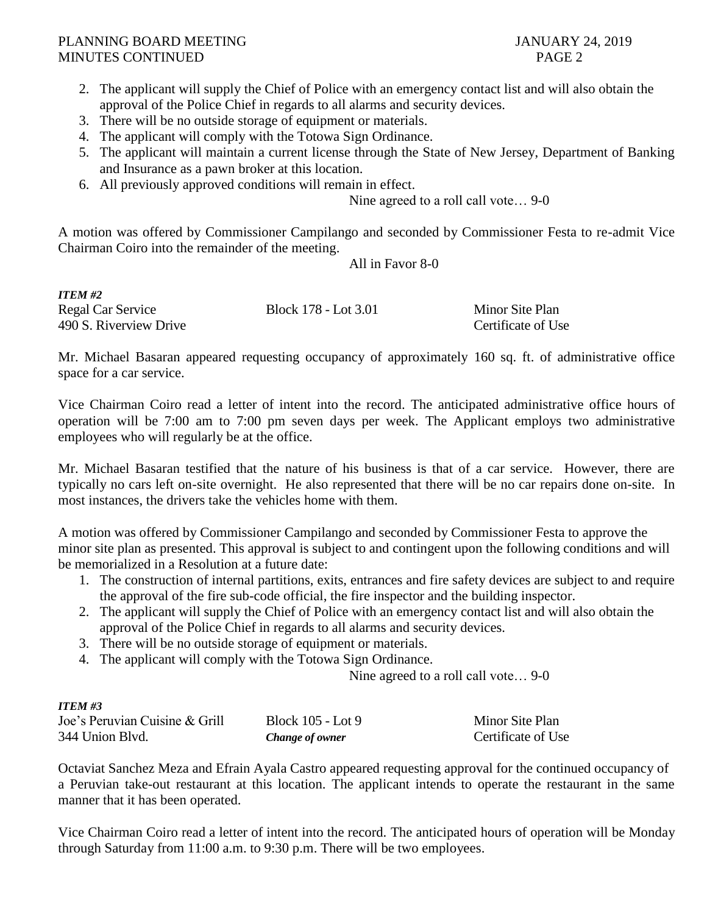- 2. The applicant will supply the Chief of Police with an emergency contact list and will also obtain the approval of the Police Chief in regards to all alarms and security devices.
- 3. There will be no outside storage of equipment or materials.
- 4. The applicant will comply with the Totowa Sign Ordinance.
- 5. The applicant will maintain a current license through the State of New Jersey, Department of Banking and Insurance as a pawn broker at this location.
- 6. All previously approved conditions will remain in effect.

Nine agreed to a roll call vote… 9-0

A motion was offered by Commissioner Campilango and seconded by Commissioner Festa to re-admit Vice Chairman Coiro into the remainder of the meeting.

All in Favor 8-0

| <b>ITEM #2</b>         |                      |                    |
|------------------------|----------------------|--------------------|
| Regal Car Service      | Block 178 - Lot 3.01 | Minor Site Plan    |
| 490 S. Riverview Drive |                      | Certificate of Use |

Mr. Michael Basaran appeared requesting occupancy of approximately 160 sq. ft. of administrative office space for a car service.

Vice Chairman Coiro read a letter of intent into the record. The anticipated administrative office hours of operation will be 7:00 am to 7:00 pm seven days per week. The Applicant employs two administrative employees who will regularly be at the office.

Mr. Michael Basaran testified that the nature of his business is that of a car service. However, there are typically no cars left on-site overnight. He also represented that there will be no car repairs done on-site. In most instances, the drivers take the vehicles home with them.

A motion was offered by Commissioner Campilango and seconded by Commissioner Festa to approve the minor site plan as presented. This approval is subject to and contingent upon the following conditions and will be memorialized in a Resolution at a future date:

- 1. The construction of internal partitions, exits, entrances and fire safety devices are subject to and require the approval of the fire sub-code official, the fire inspector and the building inspector.
- 2. The applicant will supply the Chief of Police with an emergency contact list and will also obtain the approval of the Police Chief in regards to all alarms and security devices.
- 3. There will be no outside storage of equipment or materials.
- 4. The applicant will comply with the Totowa Sign Ordinance.

Nine agreed to a roll call vote… 9-0

#### *ITEM #3*

| Joe's Peruvian Cuisine & Grill | Block 105 - Lot 9 | Minor Site Plan    |
|--------------------------------|-------------------|--------------------|
| 344 Union Blvd.                | Change of owner   | Certificate of Use |

Octaviat Sanchez Meza and Efrain Ayala Castro appeared requesting approval for the continued occupancy of a Peruvian take-out restaurant at this location. The applicant intends to operate the restaurant in the same manner that it has been operated.

Vice Chairman Coiro read a letter of intent into the record. The anticipated hours of operation will be Monday through Saturday from 11:00 a.m. to 9:30 p.m. There will be two employees.